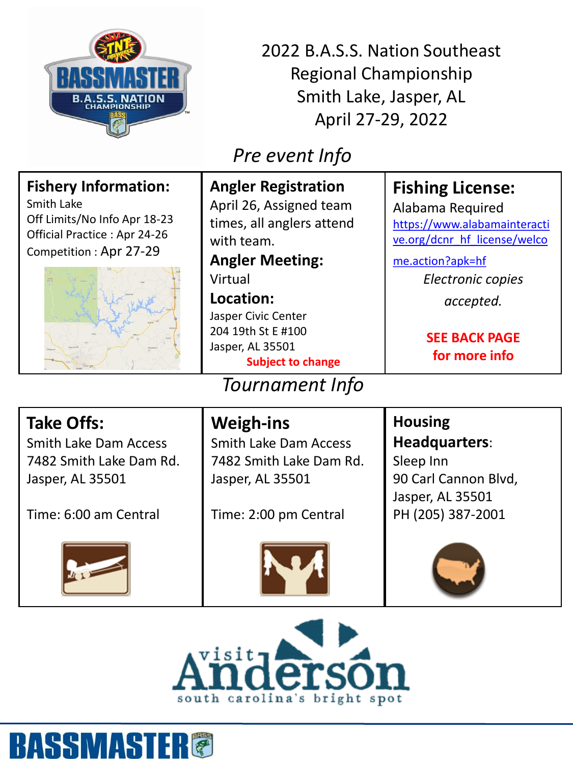

2022 B.A.S.S. Nation Southeast Regional Championship Smith Lake, Jasper, AL April 27-29, 2022

## *Pre event Info*

| <b>Fishery Information:</b><br>Smith Lake<br>Off Limits/No Info Apr 18-23<br>Official Practice: Apr 24-26<br>Competition: Apr 27-29 | <b>Angler Registration</b><br>April 26, Assigned team<br>times, all anglers attend<br>with team.<br><b>Angler Meeting:</b><br>Virtual<br>Location:<br>Jasper Civic Center<br>204 19th St E #100 | <b>Fishing License:</b><br>Alabama Required<br>https://www.alabamainteracti<br>ve.org/dcnr hf license/welco<br>me.action?apk=hf<br>Electronic copies<br>accepted.<br><b>SEE BACK PAGE</b> |
|-------------------------------------------------------------------------------------------------------------------------------------|-------------------------------------------------------------------------------------------------------------------------------------------------------------------------------------------------|-------------------------------------------------------------------------------------------------------------------------------------------------------------------------------------------|
|                                                                                                                                     | Jasper, AL 35501<br><b>Subject to change</b>                                                                                                                                                    | for more info                                                                                                                                                                             |
| Tournament Info                                                                                                                     |                                                                                                                                                                                                 |                                                                                                                                                                                           |
| <b>Take Offs:</b><br><b>Smith Lake Dam Access</b><br>7482 Smith Lake Dam Rd.<br>Jasper, AL 35501                                    | <b>Weigh-ins</b><br><b>Smith Lake Dam Access</b><br>7482 Smith Lake Dam Rd.<br>Jasper, AL 35501                                                                                                 | <b>Housing</b><br><b>Headquarters:</b><br>Sleep Inn<br>90 Carl Cannon Blvd,<br>Jasper, AL 35501                                                                                           |

Time: 6:00 am Central



Time: 2:00 pm Central



PH (205) 387-2001